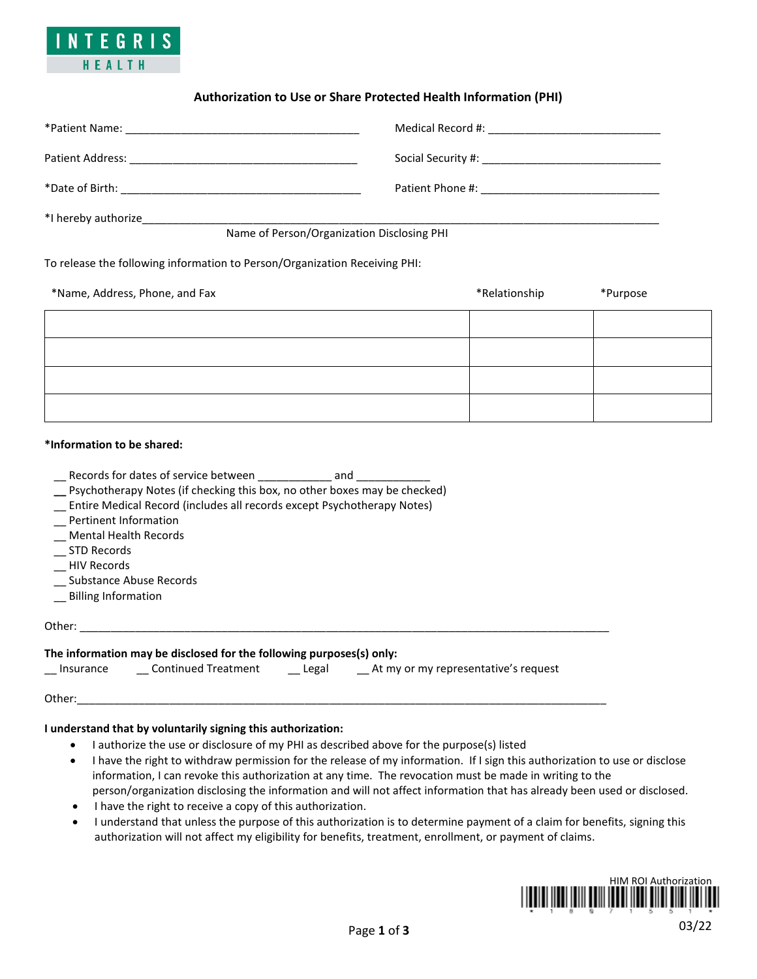

# **Authorization to Use or Share Protected Health Information (PHI)**

| Patient Address:<br>the control of the control of the control of the control of the control of the control of the control of the control of the control of the control of the control of the control of the control of the control of the control |                                                                                                                 |  |  |  |
|---------------------------------------------------------------------------------------------------------------------------------------------------------------------------------------------------------------------------------------------------|-----------------------------------------------------------------------------------------------------------------|--|--|--|
| *Date of Birth:                                                                                                                                                                                                                                   | Patient Phone #: The Contract of the Contract of the Contract of the Contract of the Contract of the Contract o |  |  |  |
| *I hereby authorize                                                                                                                                                                                                                               |                                                                                                                 |  |  |  |
| Name of Person/Organization Disclosing PHI                                                                                                                                                                                                        |                                                                                                                 |  |  |  |

To release the following information to Person/Organization Receiving PHI:

| *Name, Address, Phone, and Fax | *Relationship | *Purpose |
|--------------------------------|---------------|----------|
|                                |               |          |
|                                |               |          |
|                                |               |          |
|                                |               |          |

#### **\*Information to be shared:**

| Records for dates of service between | and |
|--------------------------------------|-----|
|                                      |     |

- **\_\_** Psychotherapy Notes (if checking this box, no other boxes may be checked)
- \_\_ Entire Medical Record (includes all records except Psychotherapy Notes)
- \_\_ Pertinent Information
- \_\_ Mental Health Records
- \_\_ STD Records
- \_\_ HIV Records
- \_\_ Substance Abuse Records
- \_\_ Billing Information

#### Other: \_\_\_\_\_\_\_\_\_\_\_\_\_\_\_\_\_\_\_\_\_\_\_\_\_\_\_\_\_\_\_\_\_\_\_\_\_\_\_\_\_\_\_\_\_\_\_\_\_\_\_\_\_\_\_\_\_\_\_\_\_\_\_\_\_\_\_\_\_\_\_\_\_\_\_\_\_\_\_\_\_\_\_\_\_\_

## **The information may be disclosed for the following purposes(s) only:**

| At my or my representative's request<br><b>Continued Treatment</b><br>∟egal<br>Insurance |  |
|------------------------------------------------------------------------------------------|--|
|------------------------------------------------------------------------------------------|--|

Other:\_\_\_\_\_\_\_\_\_\_\_\_\_\_\_\_\_\_\_\_\_\_\_\_\_\_\_\_\_\_\_\_\_\_\_\_\_\_\_\_\_\_\_\_\_\_\_\_\_\_\_\_\_\_\_\_\_\_\_\_\_\_\_\_\_\_\_\_\_\_\_\_\_\_\_\_\_\_\_\_\_\_\_\_\_\_

# **I understand that by voluntarily signing this authorization:**

- I authorize the use or disclosure of my PHI as described above for the purpose(s) listed
- I have the right to withdraw permission for the release of my information. If I sign this authorization to use or disclose information, I can revoke this authorization at any time. The revocation must be made in writing to the person/organization disclosing the information and will not affect information that has already been used or disclosed.
- I have the right to receive a copy of this authorization.
- I understand that unless the purpose of this authorization is to determine payment of a claim for benefits, signing this authorization will not affect my eligibility for benefits, treatment, enrollment, or payment of claims.

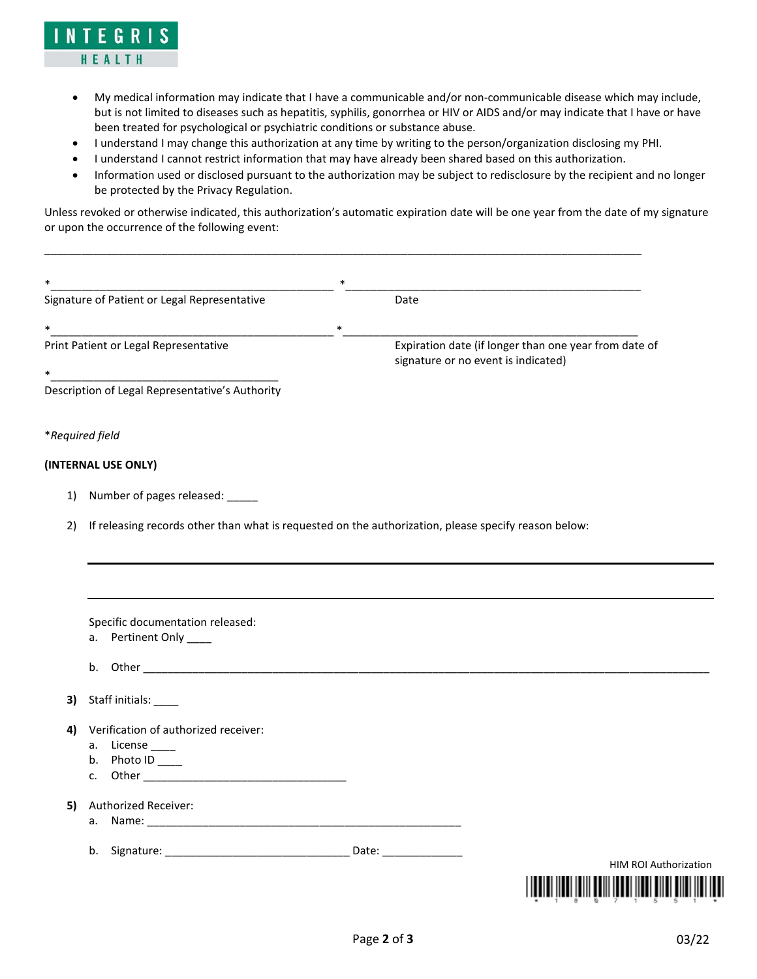

- My medical information may indicate that I have a communicable and/or non-communicable disease which may include, but is not limited to diseases such as hepatitis, syphilis, gonorrhea or HIV or AIDS and/or may indicate that I have or have been treated for psychological or psychiatric conditions or substance abuse.
- I understand I may change this authorization at any time by writing to the person/organization disclosing my PHI.
- I understand I cannot restrict information that may have already been shared based on this authorization.

\_\_\_\_\_\_\_\_\_\_\_\_\_\_\_\_\_\_\_\_\_\_\_\_\_\_\_\_\_\_\_\_\_\_\_\_\_\_\_\_\_\_\_\_\_\_\_\_\_\_\_\_\_\_\_\_\_\_\_\_\_\_\_\_\_\_\_\_\_\_\_\_\_\_\_\_\_\_\_\_\_\_\_\_\_\_\_\_\_\_\_\_\_\_\_\_\_

• Information used or disclosed pursuant to the authorization may be subject to redisclosure by the recipient and no longer be protected by the Privacy Regulation.

Unless revoked or otherwise indicated, this authorization's automatic expiration date will be one year from the date of my signature or upon the occurrence of the following event:

| $\ast$                                                                                                     |                                                            | $\ast$                              |                                                       |  |  |
|------------------------------------------------------------------------------------------------------------|------------------------------------------------------------|-------------------------------------|-------------------------------------------------------|--|--|
|                                                                                                            | Signature of Patient or Legal Representative               | Date                                |                                                       |  |  |
| $\ast$                                                                                                     |                                                            | $\ast$                              |                                                       |  |  |
|                                                                                                            | Print Patient or Legal Representative                      |                                     | Expiration date (if longer than one year from date of |  |  |
| *                                                                                                          |                                                            | signature or no event is indicated) |                                                       |  |  |
|                                                                                                            | Description of Legal Representative's Authority            |                                     |                                                       |  |  |
|                                                                                                            | *Required field                                            |                                     |                                                       |  |  |
|                                                                                                            | (INTERNAL USE ONLY)                                        |                                     |                                                       |  |  |
| 1)                                                                                                         | Number of pages released: ______                           |                                     |                                                       |  |  |
| If releasing records other than what is requested on the authorization, please specify reason below:<br>2) |                                                            |                                     |                                                       |  |  |
|                                                                                                            |                                                            |                                     |                                                       |  |  |
|                                                                                                            |                                                            |                                     |                                                       |  |  |
|                                                                                                            |                                                            |                                     |                                                       |  |  |
|                                                                                                            |                                                            |                                     |                                                       |  |  |
|                                                                                                            | Specific documentation released:<br>a. Pertinent Only ____ |                                     |                                                       |  |  |
|                                                                                                            |                                                            |                                     |                                                       |  |  |
|                                                                                                            |                                                            |                                     |                                                       |  |  |
| 3)                                                                                                         | Staff initials:                                            |                                     |                                                       |  |  |
|                                                                                                            |                                                            |                                     |                                                       |  |  |
| 4)                                                                                                         | Verification of authorized receiver:<br>a. License _____   |                                     |                                                       |  |  |
|                                                                                                            | b. Photo $ID$ _____                                        |                                     |                                                       |  |  |
|                                                                                                            |                                                            |                                     |                                                       |  |  |
| 5)                                                                                                         | Authorized Receiver:                                       |                                     |                                                       |  |  |
|                                                                                                            |                                                            |                                     |                                                       |  |  |
|                                                                                                            |                                                            |                                     |                                                       |  |  |
|                                                                                                            |                                                            |                                     | <b>HIM ROI Authorization</b>                          |  |  |
|                                                                                                            |                                                            |                                     |                                                       |  |  |
|                                                                                                            |                                                            |                                     |                                                       |  |  |